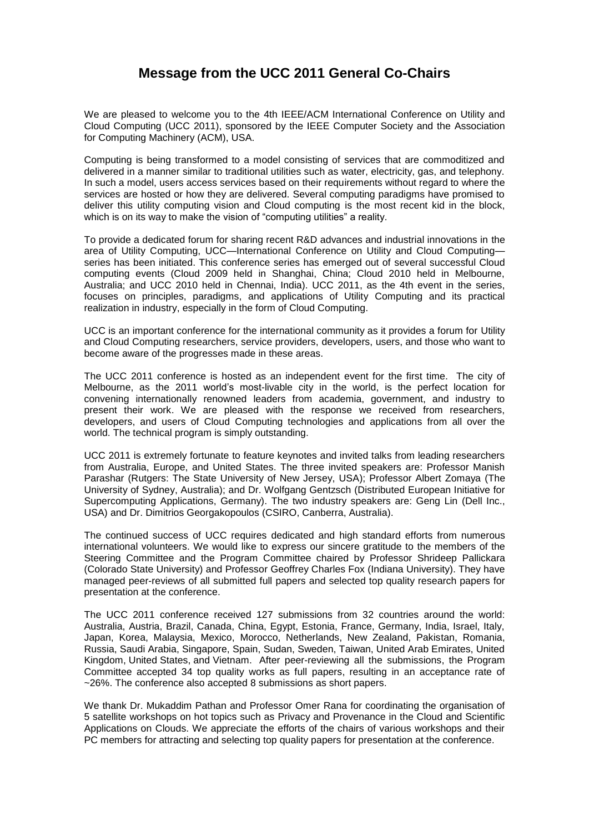## **Message from the UCC 2011 General Co-Chairs**

We are pleased to welcome you to the 4th IEEE/ACM International Conference on Utility and Cloud Computing (UCC 2011), sponsored by the IEEE Computer Society and the Association for Computing Machinery (ACM), USA.

Computing is being transformed to a model consisting of services that are commoditized and delivered in a manner similar to traditional utilities such as water, electricity, gas, and telephony. In such a model, users access services based on their requirements without regard to where the services are hosted or how they are delivered. Several computing paradigms have promised to deliver this utility computing vision and Cloud computing is the most recent kid in the block, which is on its way to make the vision of "computing utilities" a reality.

To provide a dedicated forum for sharing recent R&D advances and industrial innovations in the area of Utility Computing, UCC—International Conference on Utility and Cloud Computing series has been initiated. This conference series has emerged out of several successful Cloud computing events (Cloud 2009 held in Shanghai, China; Cloud 2010 held in Melbourne, Australia; and UCC 2010 held in Chennai, India). UCC 2011, as the 4th event in the series, focuses on principles, paradigms, and applications of Utility Computing and its practical realization in industry, especially in the form of Cloud Computing.

UCC is an important conference for the international community as it provides a forum for Utility and Cloud Computing researchers, service providers, developers, users, and those who want to become aware of the progresses made in these areas.

The UCC 2011 conference is hosted as an independent event for the first time. The city of Melbourne, as the 2011 world's most-livable city in the world, is the perfect location for convening internationally renowned leaders from academia, government, and industry to present their work. We are pleased with the response we received from researchers, developers, and users of Cloud Computing technologies and applications from all over the world. The technical program is simply outstanding.

UCC 2011 is extremely fortunate to feature keynotes and invited talks from leading researchers from Australia, Europe, and United States. The three invited speakers are: Professor Manish Parashar (Rutgers: The State University of New Jersey, USA); Professor Albert Zomaya (The University of Sydney, Australia); and Dr. Wolfgang Gentzsch (Distributed European Initiative for Supercomputing Applications, Germany). The two industry speakers are: Geng Lin (Dell Inc., USA) and Dr. Dimitrios Georgakopoulos (CSIRO, Canberra, Australia).

The continued success of UCC requires dedicated and high standard efforts from numerous international volunteers. We would like to express our sincere gratitude to the members of the Steering Committee and the Program Committee chaired by Professor [Shrideep Pallickara](http://www.cs.colostate.edu/~shrideep/) (Colorado State University) and Professor [Geoffrey Charles Fox](http://www.cs.indiana.edu/people/g/gcf.html) (Indiana University). They have managed peer-reviews of all submitted full papers and selected top quality research papers for presentation at the conference.

The UCC 2011 conference received 127 submissions from 32 countries around the world: Australia, Austria, Brazil, Canada, China, Egypt, Estonia, France, Germany, India, Israel, Italy, Japan, Korea, Malaysia, Mexico, Morocco, Netherlands, New Zealand, Pakistan, Romania, Russia, Saudi Arabia, Singapore, Spain, Sudan, Sweden, Taiwan, United Arab Emirates, United Kingdom, United States, and Vietnam. After peer-reviewing all the submissions, the Program Committee accepted 34 top quality works as full papers, resulting in an acceptance rate of ~26%. The conference also accepted 8 submissions as short papers.

We thank Dr. Mukaddim Pathan and Professor Omer Rana for coordinating the organisation of 5 satellite workshops on hot topics such as Privacy and Provenance in the Cloud and Scientific Applications on Clouds. We appreciate the efforts of the chairs of various workshops and their PC members for attracting and selecting top quality papers for presentation at the conference.